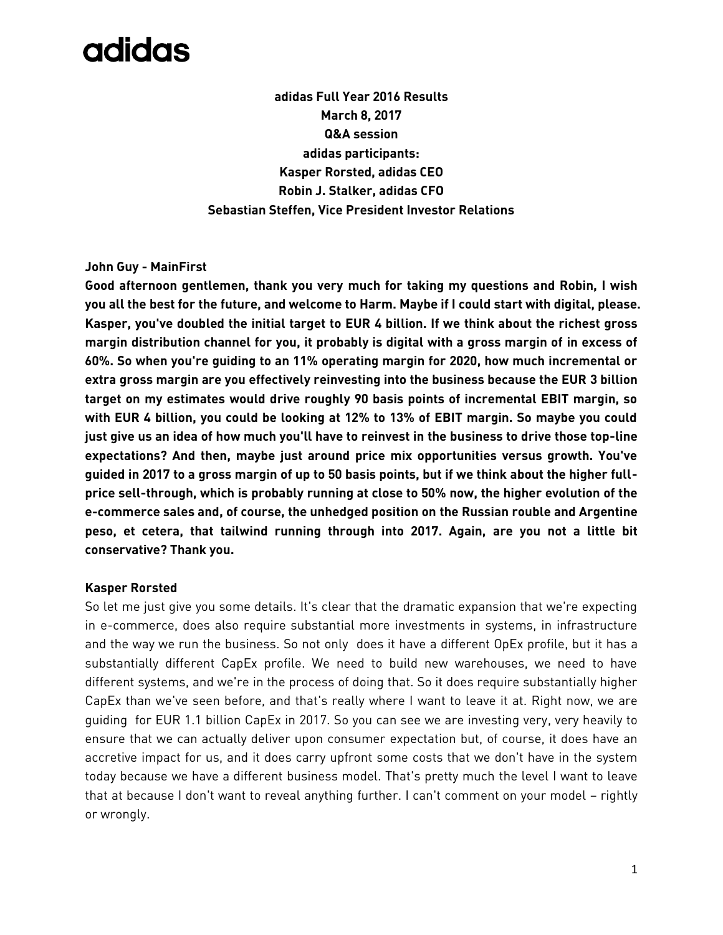# adidas

**adidas Full Year 2016 Results March 8, 2017 Q&A session adidas participants: Kasper Rorsted, adidas CEO Robin J. Stalker, adidas CFO Sebastian Steffen, Vice President Investor Relations**

### **John Guy - MainFirst**

**Good afternoon gentlemen, thank you very much for taking my questions and Robin, I wish you all the best for the future, and welcome to Harm. Maybe if I could start with digital, please. Kasper, you've doubled the initial target to EUR 4 billion. If we think about the richest gross margin distribution channel for you, it probably is digital with a gross margin of in excess of 60%. So when you're guiding to an 11% operating margin for 2020, how much incremental or extra gross margin are you effectively reinvesting into the business because the EUR 3 billion target on my estimates would drive roughly 90 basis points of incremental EBIT margin, so with EUR 4 billion, you could be looking at 12% to 13% of EBIT margin. So maybe you could just give us an idea of how much you'll have to reinvest in the business to drive those top-line expectations? And then, maybe just around price mix opportunities versus growth. You've guided in 2017 to a gross margin of up to 50 basis points, but if we think about the higher fullprice sell-through, which is probably running at close to 50% now, the higher evolution of the e-commerce sales and, of course, the unhedged position on the Russian rouble and Argentine peso, et cetera, that tailwind running through into 2017. Again, are you not a little bit conservative? Thank you.**

#### **Kasper Rorsted**

So let me just give you some details. It's clear that the dramatic expansion that we're expecting in e-commerce, does also require substantial more investments in systems, in infrastructure and the way we run the business. So not only does it have a different OpEx profile, but it has a substantially different CapEx profile. We need to build new warehouses, we need to have different systems, and we're in the process of doing that. So it does require substantially higher CapEx than we've seen before, and that's really where I want to leave it at. Right now, we are guiding for EUR 1.1 billion CapEx in 2017. So you can see we are investing very, very heavily to ensure that we can actually deliver upon consumer expectation but, of course, it does have an accretive impact for us, and it does carry upfront some costs that we don't have in the system today because we have a different business model. That's pretty much the level I want to leave that at because I don't want to reveal anything further. I can't comment on your model – rightly or wrongly.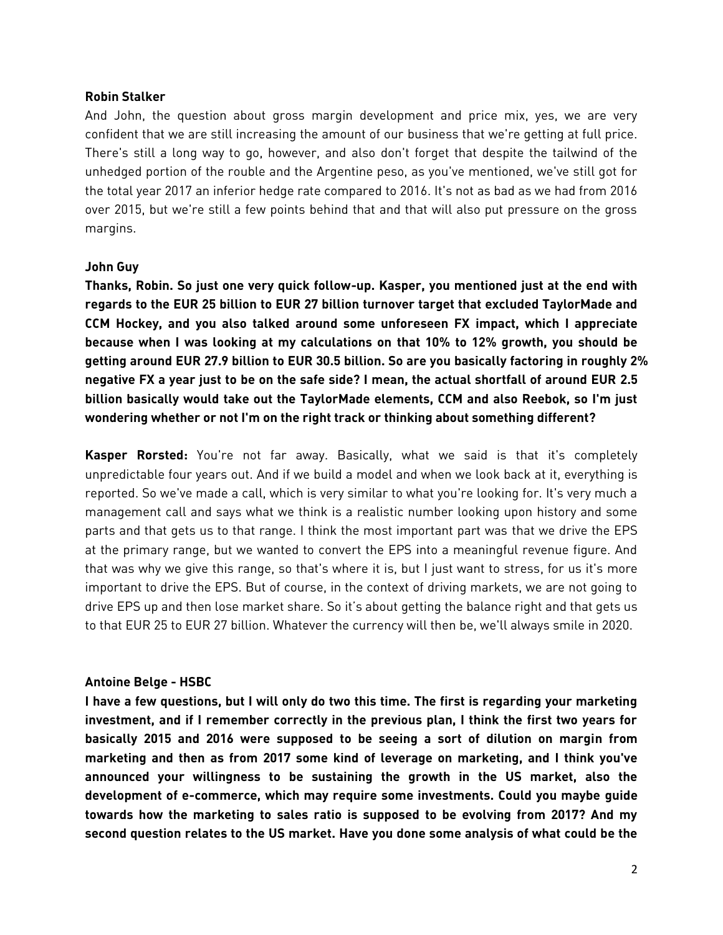#### **Robin Stalker**

And John, the question about gross margin development and price mix, yes, we are very confident that we are still increasing the amount of our business that we're getting at full price. There's still a long way to go, however, and also don't forget that despite the tailwind of the unhedged portion of the rouble and the Argentine peso, as you've mentioned, we've still got for the total year 2017 an inferior hedge rate compared to 2016. It's not as bad as we had from 2016 over 2015, but we're still a few points behind that and that will also put pressure on the gross margins.

#### **John Guy**

**Thanks, Robin. So just one very quick follow-up. Kasper, you mentioned just at the end with regards to the EUR 25 billion to EUR 27 billion turnover target that excluded TaylorMade and CCM Hockey, and you also talked around some unforeseen FX impact, which I appreciate because when I was looking at my calculations on that 10% to 12% growth, you should be getting around EUR 27.9 billion to EUR 30.5 billion. So are you basically factoring in roughly 2% negative FX a year just to be on the safe side? I mean, the actual shortfall of around EUR 2.5 billion basically would take out the TaylorMade elements, CCM and also Reebok, so I'm just wondering whether or not I'm on the right track or thinking about something different?** 

**Kasper Rorsted:** You're not far away. Basically, what we said is that it's completely unpredictable four years out. And if we build a model and when we look back at it, everything is reported. So we've made a call, which is very similar to what you're looking for. It's very much a management call and says what we think is a realistic number looking upon history and some parts and that gets us to that range. I think the most important part was that we drive the EPS at the primary range, but we wanted to convert the EPS into a meaningful revenue figure. And that was why we give this range, so that's where it is, but I just want to stress, for us it's more important to drive the EPS. But of course, in the context of driving markets, we are not going to drive EPS up and then lose market share. So it's about getting the balance right and that gets us to that EUR 25 to EUR 27 billion. Whatever the currency will then be, we'll always smile in 2020.

#### **Antoine Belge - HSBC**

**I have a few questions, but I will only do two this time. The first is regarding your marketing investment, and if I remember correctly in the previous plan, I think the first two years for basically 2015 and 2016 were supposed to be seeing a sort of dilution on margin from marketing and then as from 2017 some kind of leverage on marketing, and I think you've announced your willingness to be sustaining the growth in the US market, also the development of e-commerce, which may require some investments. Could you maybe guide towards how the marketing to sales ratio is supposed to be evolving from 2017? And my second question relates to the US market. Have you done some analysis of what could be the**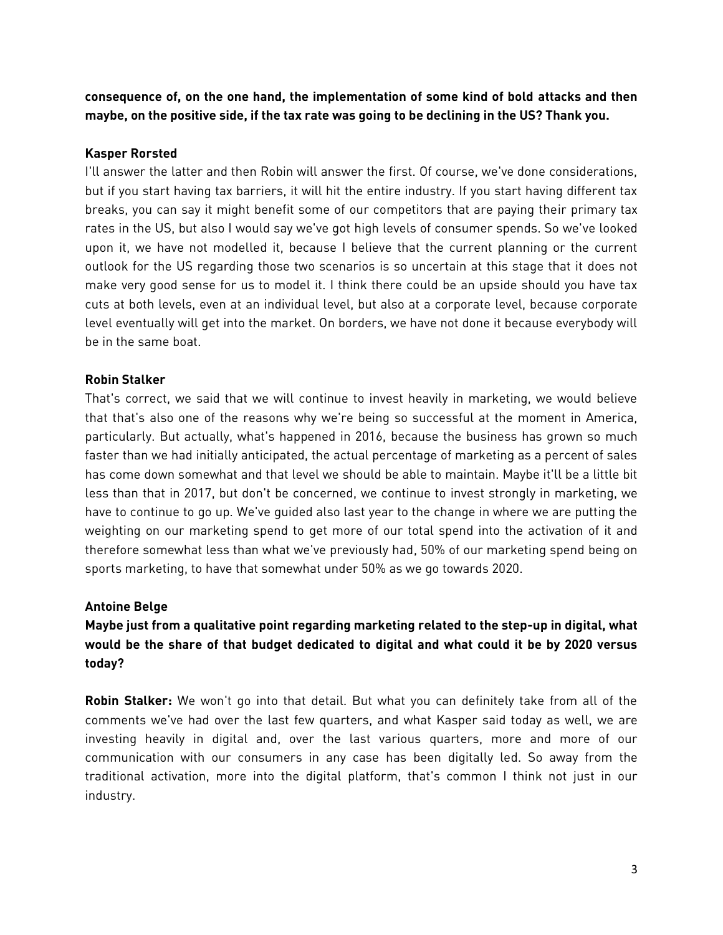**consequence of, on the one hand, the implementation of some kind of bold attacks and then maybe, on the positive side, if the tax rate was going to be declining in the US? Thank you.**

# **Kasper Rorsted**

I'll answer the latter and then Robin will answer the first. Of course, we've done considerations, but if you start having tax barriers, it will hit the entire industry. If you start having different tax breaks, you can say it might benefit some of our competitors that are paying their primary tax rates in the US, but also I would say we've got high levels of consumer spends. So we've looked upon it, we have not modelled it, because I believe that the current planning or the current outlook for the US regarding those two scenarios is so uncertain at this stage that it does not make very good sense for us to model it. I think there could be an upside should you have tax cuts at both levels, even at an individual level, but also at a corporate level, because corporate level eventually will get into the market. On borders, we have not done it because everybody will be in the same boat.

# **Robin Stalker**

That's correct, we said that we will continue to invest heavily in marketing, we would believe that that's also one of the reasons why we're being so successful at the moment in America, particularly. But actually, what's happened in 2016, because the business has grown so much faster than we had initially anticipated, the actual percentage of marketing as a percent of sales has come down somewhat and that level we should be able to maintain. Maybe it'll be a little bit less than that in 2017, but don't be concerned, we continue to invest strongly in marketing, we have to continue to go up. We've guided also last year to the change in where we are putting the weighting on our marketing spend to get more of our total spend into the activation of it and therefore somewhat less than what we've previously had, 50% of our marketing spend being on sports marketing, to have that somewhat under 50% as we go towards 2020.

#### **Antoine Belge**

# **Maybe just from a qualitative point regarding marketing related to the step-up in digital, what would be the share of that budget dedicated to digital and what could it be by 2020 versus today?**

**Robin Stalker:** We won't go into that detail. But what you can definitely take from all of the comments we've had over the last few quarters, and what Kasper said today as well, we are investing heavily in digital and, over the last various quarters, more and more of our communication with our consumers in any case has been digitally led. So away from the traditional activation, more into the digital platform, that's common I think not just in our industry.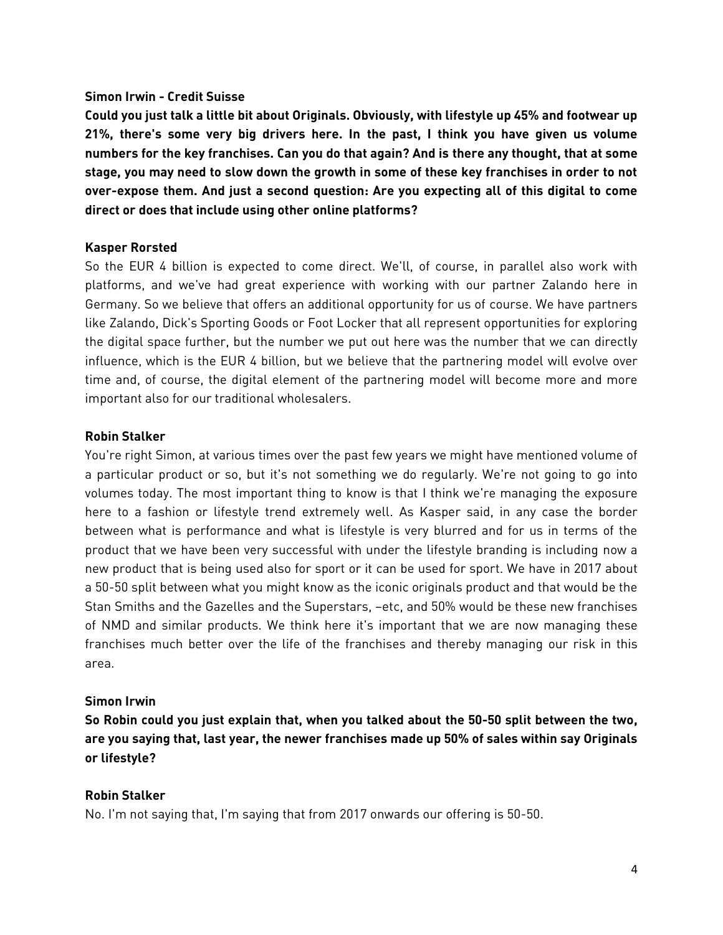### **Simon Irwin - Credit Suisse**

**Could you just talk a little bit about Originals. Obviously, with lifestyle up 45% and footwear up 21%, there's some very big drivers here. In the past, I think you have given us volume numbers for the key franchises. Can you do that again? And is there any thought, that at some stage, you may need to slow down the growth in some of these key franchises in order to not over-expose them. And just a second question: Are you expecting all of this digital to come direct or does that include using other online platforms?**

### **Kasper Rorsted**

So the EUR 4 billion is expected to come direct. We'll, of course, in parallel also work with platforms, and we've had great experience with working with our partner Zalando here in Germany. So we believe that offers an additional opportunity for us of course. We have partners like Zalando, Dick's Sporting Goods or Foot Locker that all represent opportunities for exploring the digital space further, but the number we put out here was the number that we can directly influence, which is the EUR 4 billion, but we believe that the partnering model will evolve over time and, of course, the digital element of the partnering model will become more and more important also for our traditional wholesalers.

# **Robin Stalker**

You're right Simon, at various times over the past few years we might have mentioned volume of a particular product or so, but it's not something we do regularly. We're not going to go into volumes today. The most important thing to know is that I think we're managing the exposure here to a fashion or lifestyle trend extremely well. As Kasper said, in any case the border between what is performance and what is lifestyle is very blurred and for us in terms of the product that we have been very successful with under the lifestyle branding is including now a new product that is being used also for sport or it can be used for sport. We have in 2017 about a 50-50 split between what you might know as the iconic originals product and that would be the Stan Smiths and the Gazelles and the Superstars, –etc, and 50% would be these new franchises of NMD and similar products. We think here it's important that we are now managing these franchises much better over the life of the franchises and thereby managing our risk in this area.

#### **Simon Irwin**

**So Robin could you just explain that, when you talked about the 50-50 split between the two, are you saying that, last year, the newer franchises made up 50% of sales within say Originals or lifestyle?**

# **Robin Stalker**

No. I'm not saying that, I'm saying that from 2017 onwards our offering is 50-50.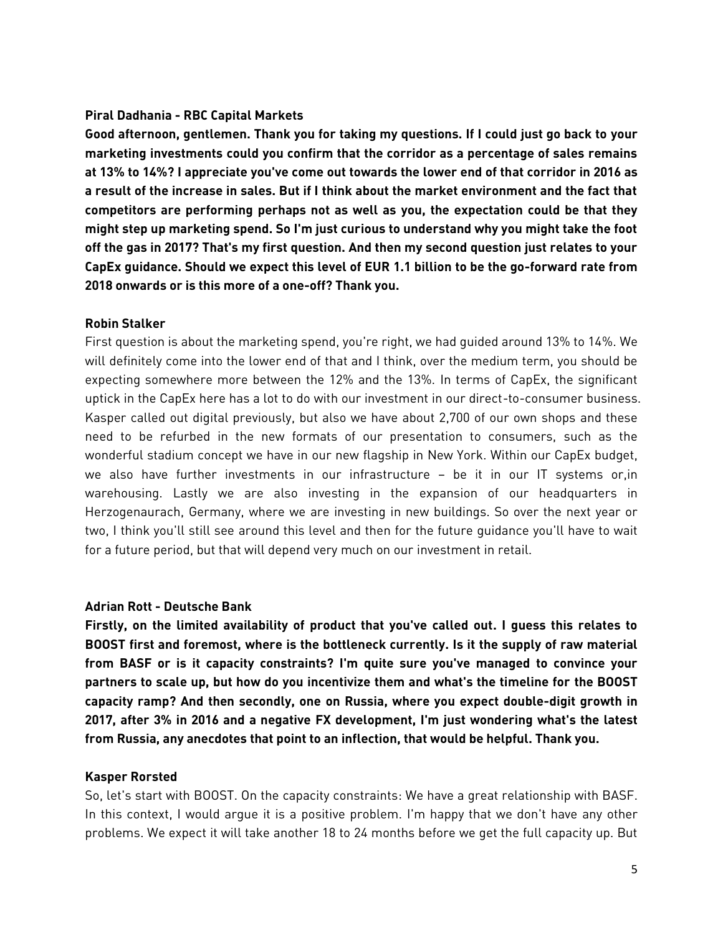# **Piral Dadhania - RBC Capital Markets**

**Good afternoon, gentlemen. Thank you for taking my questions. If I could just go back to your marketing investments could you confirm that the corridor as a percentage of sales remains at 13% to 14%? I appreciate you've come out towards the lower end of that corridor in 2016 as a result of the increase in sales. But if I think about the market environment and the fact that competitors are performing perhaps not as well as you, the expectation could be that they might step up marketing spend. So I'm just curious to understand why you might take the foot off the gas in 2017? That's my first question. And then my second question just relates to your CapEx guidance. Should we expect this level of EUR 1.1 billion to be the go-forward rate from 2018 onwards or is this more of a one-off? Thank you.**

#### **Robin Stalker**

First question is about the marketing spend, you're right, we had guided around 13% to 14%. We will definitely come into the lower end of that and I think, over the medium term, you should be expecting somewhere more between the 12% and the 13%. In terms of CapEx, the significant uptick in the CapEx here has a lot to do with our investment in our direct-to-consumer business. Kasper called out digital previously, but also we have about 2,700 of our own shops and these need to be refurbed in the new formats of our presentation to consumers, such as the wonderful stadium concept we have in our new flagship in New York. Within our CapEx budget, we also have further investments in our infrastructure – be it in our IT systems or,in warehousing. Lastly we are also investing in the expansion of our headquarters in Herzogenaurach, Germany, where we are investing in new buildings. So over the next year or two, I think you'll still see around this level and then for the future guidance you'll have to wait for a future period, but that will depend very much on our investment in retail.

#### **Adrian Rott - Deutsche Bank**

**Firstly, on the limited availability of product that you've called out. I guess this relates to BOOST first and foremost, where is the bottleneck currently. Is it the supply of raw material from BASF or is it capacity constraints? I'm quite sure you've managed to convince your partners to scale up, but how do you incentivize them and what's the timeline for the BOOST capacity ramp? And then secondly, one on Russia, where you expect double-digit growth in 2017, after 3% in 2016 and a negative FX development, I'm just wondering what's the latest from Russia, any anecdotes that point to an inflection, that would be helpful. Thank you.**

# **Kasper Rorsted**

So, let's start with BOOST. On the capacity constraints: We have a great relationship with BASF. In this context, I would argue it is a positive problem. I'm happy that we don't have any other problems. We expect it will take another 18 to 24 months before we get the full capacity up. But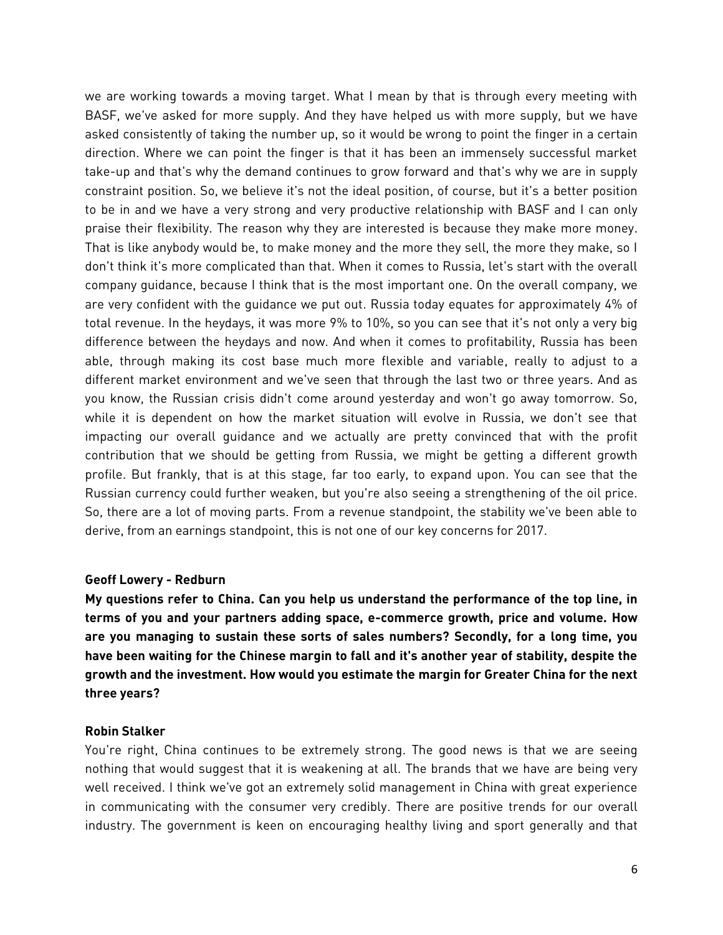we are working towards a moving target. What I mean by that is through every meeting with BASF, we've asked for more supply. And they have helped us with more supply, but we have asked consistently of taking the number up, so it would be wrong to point the finger in a certain direction. Where we can point the finger is that it has been an immensely successful market take-up and that's why the demand continues to grow forward and that's why we are in supply constraint position. So, we believe it's not the ideal position, of course, but it's a better position to be in and we have a very strong and very productive relationship with BASF and I can only praise their flexibility. The reason why they are interested is because they make more money. That is like anybody would be, to make money and the more they sell, the more they make, so I don't think it's more complicated than that. When it comes to Russia, let's start with the overall company guidance, because I think that is the most important one. On the overall company, we are very confident with the guidance we put out. Russia today equates for approximately 4% of total revenue. In the heydays, it was more 9% to 10%, so you can see that it's not only a very big difference between the heydays and now. And when it comes to profitability, Russia has been able, through making its cost base much more flexible and variable, really to adjust to a different market environment and we've seen that through the last two or three years. And as you know, the Russian crisis didn't come around yesterday and won't go away tomorrow. So, while it is dependent on how the market situation will evolve in Russia, we don't see that impacting our overall guidance and we actually are pretty convinced that with the profit contribution that we should be getting from Russia, we might be getting a different growth profile. But frankly, that is at this stage, far too early, to expand upon. You can see that the Russian currency could further weaken, but you're also seeing a strengthening of the oil price. So, there are a lot of moving parts. From a revenue standpoint, the stability we've been able to derive, from an earnings standpoint, this is not one of our key concerns for 2017.

#### **Geoff Lowery - Redburn**

**My questions refer to China. Can you help us understand the performance of the top line, in terms of you and your partners adding space, e-commerce growth, price and volume. How are you managing to sustain these sorts of sales numbers? Secondly, for a long time, you have been waiting for the Chinese margin to fall and it's another year of stability, despite the growth and the investment. How would you estimate the margin for Greater China for the next three years?**

# **Robin Stalker**

You're right, China continues to be extremely strong. The good news is that we are seeing nothing that would suggest that it is weakening at all. The brands that we have are being very well received. I think we've got an extremely solid management in China with great experience in communicating with the consumer very credibly. There are positive trends for our overall industry. The government is keen on encouraging healthy living and sport generally and that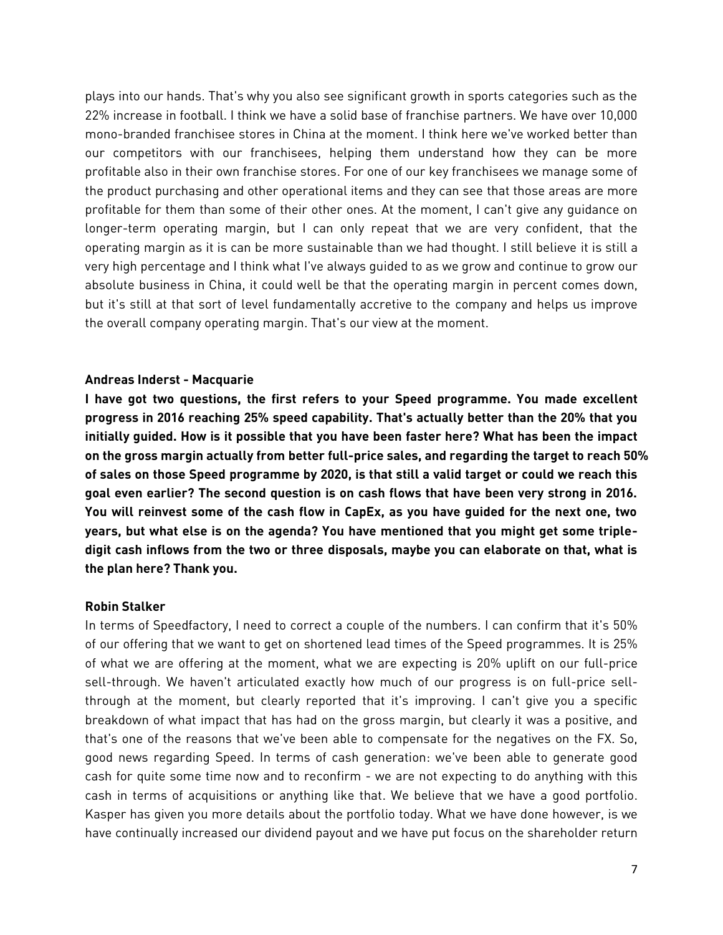plays into our hands. That's why you also see significant growth in sports categories such as the 22% increase in football. I think we have a solid base of franchise partners. We have over 10,000 mono-branded franchisee stores in China at the moment. I think here we've worked better than our competitors with our franchisees, helping them understand how they can be more profitable also in their own franchise stores. For one of our key franchisees we manage some of the product purchasing and other operational items and they can see that those areas are more profitable for them than some of their other ones. At the moment, I can't give any guidance on longer-term operating margin, but I can only repeat that we are very confident, that the operating margin as it is can be more sustainable than we had thought. I still believe it is still a very high percentage and I think what I've always guided to as we grow and continue to grow our absolute business in China, it could well be that the operating margin in percent comes down, but it's still at that sort of level fundamentally accretive to the company and helps us improve the overall company operating margin. That's our view at the moment.

#### **Andreas Inderst - Macquarie**

**I have got two questions, the first refers to your Speed programme. You made excellent progress in 2016 reaching 25% speed capability. That's actually better than the 20% that you initially guided. How is it possible that you have been faster here? What has been the impact on the gross margin actually from better full-price sales, and regarding the target to reach 50% of sales on those Speed programme by 2020, is that still a valid target or could we reach this goal even earlier? The second question is on cash flows that have been very strong in 2016. You will reinvest some of the cash flow in CapEx, as you have guided for the next one, two years, but what else is on the agenda? You have mentioned that you might get some tripledigit cash inflows from the two or three disposals, maybe you can elaborate on that, what is the plan here? Thank you.**

#### **Robin Stalker**

In terms of Speedfactory, I need to correct a couple of the numbers. I can confirm that it's 50% of our offering that we want to get on shortened lead times of the Speed programmes. It is 25% of what we are offering at the moment, what we are expecting is 20% uplift on our full-price sell-through. We haven't articulated exactly how much of our progress is on full-price sellthrough at the moment, but clearly reported that it's improving. I can't give you a specific breakdown of what impact that has had on the gross margin, but clearly it was a positive, and that's one of the reasons that we've been able to compensate for the negatives on the FX. So, good news regarding Speed. In terms of cash generation: we've been able to generate good cash for quite some time now and to reconfirm - we are not expecting to do anything with this cash in terms of acquisitions or anything like that. We believe that we have a good portfolio. Kasper has given you more details about the portfolio today. What we have done however, is we have continually increased our dividend payout and we have put focus on the shareholder return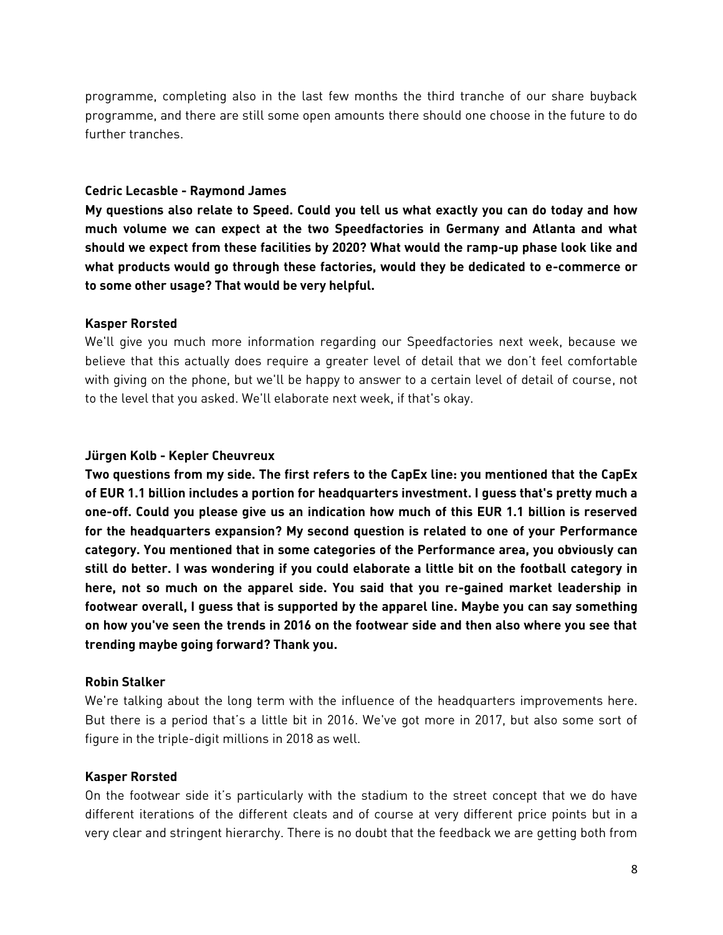programme, completing also in the last few months the third tranche of our share buyback programme, and there are still some open amounts there should one choose in the future to do further tranches.

### **Cedric Lecasble - Raymond James**

**My questions also relate to Speed. Could you tell us what exactly you can do today and how much volume we can expect at the two Speedfactories in Germany and Atlanta and what should we expect from these facilities by 2020? What would the ramp-up phase look like and what products would go through these factories, would they be dedicated to e-commerce or to some other usage? That would be very helpful.** 

### **Kasper Rorsted**

We'll give you much more information regarding our Speedfactories next week, because we believe that this actually does require a greater level of detail that we don't feel comfortable with giving on the phone, but we'll be happy to answer to a certain level of detail of course, not to the level that you asked. We'll elaborate next week, if that's okay.

### **Jürgen Kolb - Kepler Cheuvreux**

**Two questions from my side. The first refers to the CapEx line: you mentioned that the CapEx of EUR 1.1 billion includes a portion for headquarters investment. I guess that's pretty much a one-off. Could you please give us an indication how much of this EUR 1.1 billion is reserved for the headquarters expansion? My second question is related to one of your Performance category. You mentioned that in some categories of the Performance area, you obviously can still do better. I was wondering if you could elaborate a little bit on the football category in here, not so much on the apparel side. You said that you re-gained market leadership in footwear overall, I guess that is supported by the apparel line. Maybe you can say something on how you've seen the trends in 2016 on the footwear side and then also where you see that trending maybe going forward? Thank you.**

# **Robin Stalker**

We're talking about the long term with the influence of the headquarters improvements here. But there is a period that's a little bit in 2016. We've got more in 2017, but also some sort of figure in the triple-digit millions in 2018 as well.

# **Kasper Rorsted**

On the footwear side it's particularly with the stadium to the street concept that we do have different iterations of the different cleats and of course at very different price points but in a very clear and stringent hierarchy. There is no doubt that the feedback we are getting both from